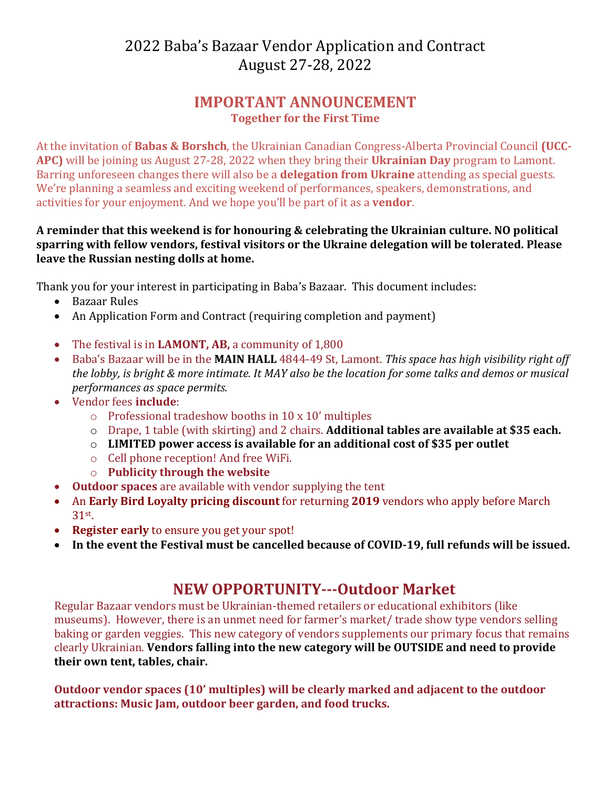# 2022 Baba's Bazaar Vendor Application and Contract August 27-28, 2022

### **IMPORTANT ANNOUNCEMENT Together for the First Time**

At the invitation of **Babas & Borshch**, the Ukrainian Canadian Congress-Alberta Provincial Council (UCC-**APC)** will be joining us August 27-28, 2022 when they bring their **Ukrainian Day** program to Lamont. Barring unforeseen changes there will also be a **delegation from Ukraine** attending as special guests. We're planning a seamless and exciting weekend of performances, speakers, demonstrations, and activities for your enjoyment. And we hope you'll be part of it as a **vendor**.

#### A reminder that this weekend is for honouring & celebrating the Ukrainian culture. NO political sparring with fellow vendors, festival visitors or the Ukraine delegation will be tolerated. Please **leave the Russian nesting dolls at home.**

Thank you for your interest in participating in Baba's Bazaar. This document includes:

- Bazaar Rules
- An Application Form and Contract (requiring completion and payment)
- The festival is in LAMONT, AB, a community of 1,800
- Baba's Bazaar will be in the **MAIN HALL** 4844-49 St, Lamont. This space has high visibility right off *the lobby, is bright & more intimate. It MAY also be the location for some talks and demos or musical performances as space permits.*
- Vendor fees **include**:
	- $\circ$  Professional tradeshow booths in 10 x 10' multiples
	- o Drape, 1 table (with skirting) and 2 chairs. **Additional tables are available at \$35 each.**
	- o LIMITED power access is available for an additional cost of \$35 per outlet
	- $\circ$  Cell phone reception! And free WiFi.
	- o **Publicity through the website**
- Outdoor spaces are available with vendor supplying the tent
- An **Early Bird Loyalty pricing discount** for returning 2019 vendors who apply before March 31st.
- Register early to ensure you get your spot!
- In the event the Festival must be cancelled because of COVID-19, full refunds will be issued.

## **NEW OPPORTUNITY---Outdoor Market**

Regular Bazaar vendors must be Ukrainian-themed retailers or educational exhibitors (like museums). However, there is an unmet need for farmer's market/ trade show type vendors selling baking or garden veggies. This new category of vendors supplements our primary focus that remains clearly Ukrainian. **Vendors falling into the new category will be OUTSIDE and need to provide** their own tent, tables, chair.

**Outdoor vendor spaces (10' multiples) will be clearly marked and adjacent to the outdoor** attractions: Music Jam, outdoor beer garden, and food trucks.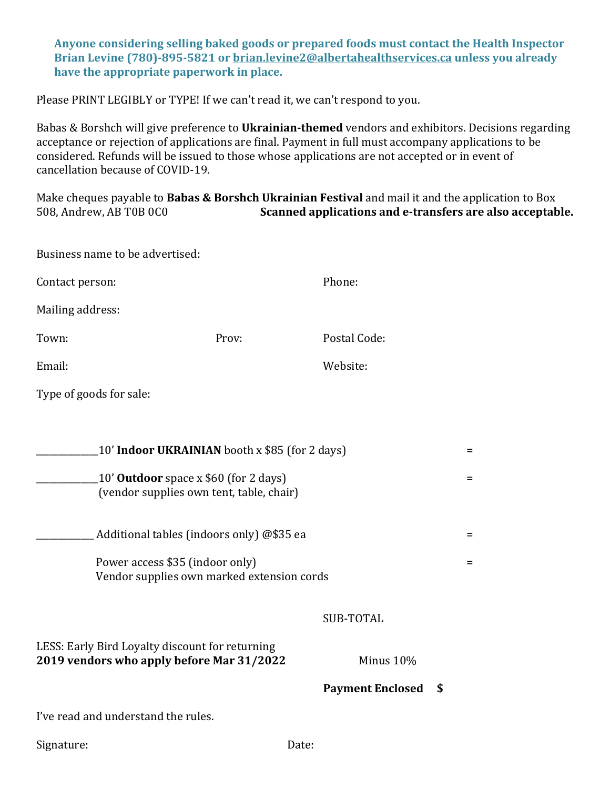Anyone considering selling baked goods or prepared foods must contact the Health Inspector **Brian Levine (780)-895-5821 or brian.levine2@albertahealthservices.ca unless you already** have the appropriate paperwork in place.

Please PRINT LEGIBLY or TYPE! If we can't read it, we can't respond to you.

Babas & Borshch will give preference to Ukrainian-themed vendors and exhibitors. Decisions regarding acceptance or rejection of applications are final. Payment in full must accompany applications to be considered. Refunds will be issued to those whose applications are not accepted or in event of cancellation because of COVID-19.

Make cheques payable to **Babas & Borshch Ukrainian Festival** and mail it and the application to Box 508, Andrew, AB T0B 0C0 **Scanned applications and e-transfers are also acceptable.** 

|                                                                                          | Business name to be advertised:                                                              |                               |     |
|------------------------------------------------------------------------------------------|----------------------------------------------------------------------------------------------|-------------------------------|-----|
| Contact person:                                                                          |                                                                                              | Phone:                        |     |
| Mailing address:                                                                         |                                                                                              |                               |     |
| Town:                                                                                    | Prov:                                                                                        | Postal Code:                  |     |
| Email:                                                                                   |                                                                                              | Website:                      |     |
| Type of goods for sale:                                                                  |                                                                                              |                               |     |
|                                                                                          |                                                                                              |                               |     |
|                                                                                          | 10' Indoor UKRAINIAN booth x \$85 (for 2 days)                                               |                               | $=$ |
| 10' <b>Outdoor</b> space x \$60 (for 2 days)<br>(vendor supplies own tent, table, chair) |                                                                                              |                               | $=$ |
|                                                                                          | Additional tables (indoors only) @\$35 ea                                                    |                               | $=$ |
|                                                                                          | Power access \$35 (indoor only)<br>Vendor supplies own marked extension cords                |                               | $=$ |
|                                                                                          |                                                                                              | <b>SUB-TOTAL</b>              |     |
|                                                                                          | LESS: Early Bird Loyalty discount for returning<br>2019 vendors who apply before Mar 31/2022 | Minus 10%                     |     |
|                                                                                          |                                                                                              | <b>Payment Enclosed</b><br>\$ |     |
|                                                                                          | I've read and understand the rules.                                                          |                               |     |
| Signature:                                                                               |                                                                                              | Date:                         |     |